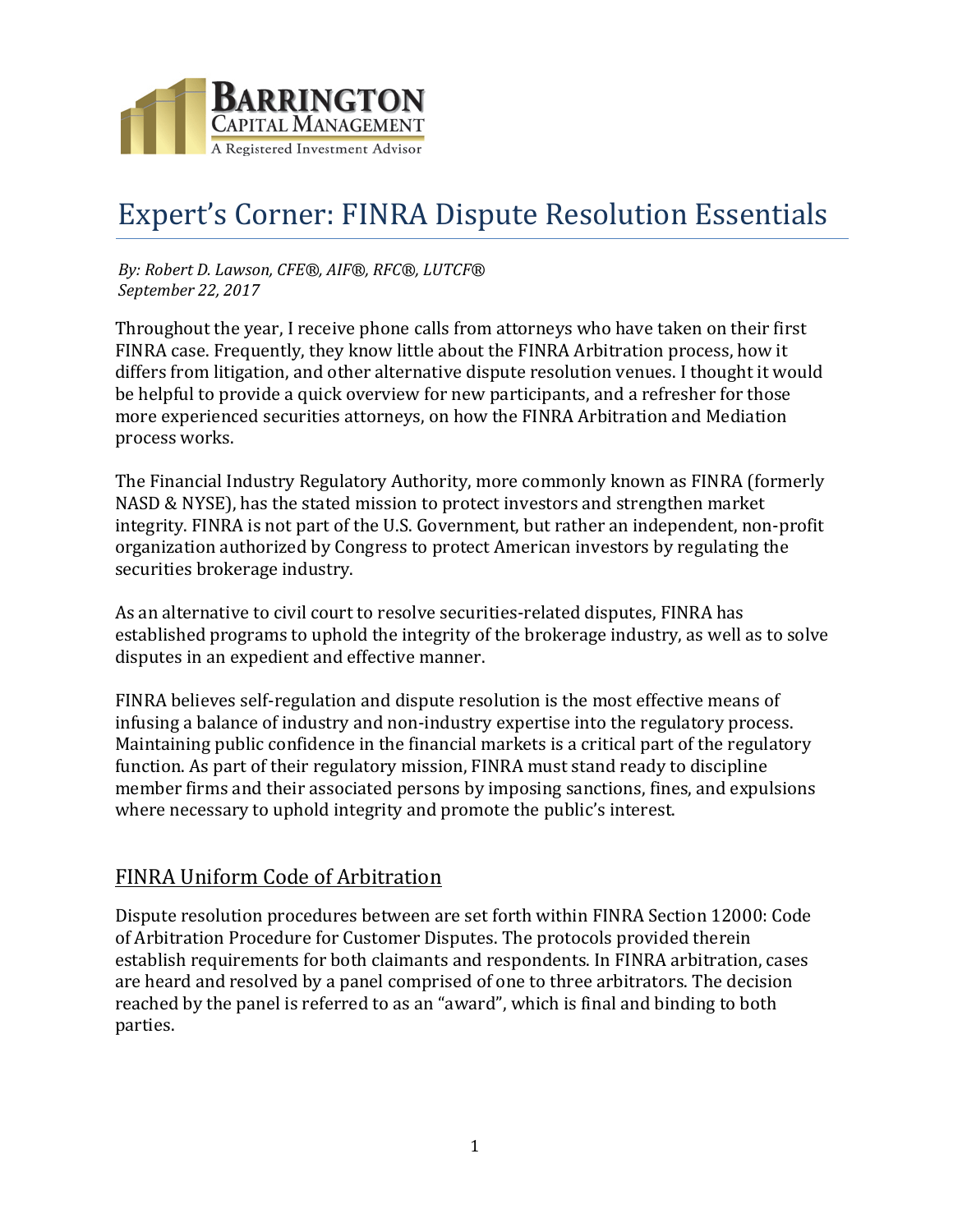

# Expert's Corner: FINRA Dispute Resolution Essentials

*By: Robert D. Lawson, CFE®, AIF®, RFC®, LUTCF® September 22, 2017*

Throughout the year, I receive phone calls from attorneys who have taken on their first FINRA case. Frequently, they know little about the FINRA Arbitration process, how it differs from litigation, and other alternative dispute resolution venues. I thought it would be helpful to provide a quick overview for new participants, and a refresher for those more experienced securities attorneys, on how the FINRA Arbitration and Mediation process works.

The Financial Industry Regulatory Authority, more commonly known as FINRA (formerly NASD & NYSE), has the stated mission to protect investors and strengthen market integrity. FINRA is not part of the U.S. Government, but rather an independent, non-profit organization authorized by Congress to protect American investors by regulating the securities brokerage industry.

As an alternative to civil court to resolve securities-related disputes, FINRA has established programs to uphold the integrity of the brokerage industry, as well as to solve disputes in an expedient and effective manner.

FINRA believes self-regulation and dispute resolution is the most effective means of infusing a balance of industry and non-industry expertise into the regulatory process. Maintaining public confidence in the financial markets is a critical part of the regulatory function. As part of their regulatory mission, FINRA must stand ready to discipline member firms and their associated persons by imposing sanctions, fines, and expulsions where necessary to uphold integrity and promote the public's interest.

# FINRA Uniform Code of Arbitration

Dispute resolution procedures between are set forth within FINRA Section 12000: Code of Arbitration Procedure for Customer Disputes. The protocols provided therein establish requirements for both claimants and respondents. In FINRA arbitration, cases are heard and resolved by a panel comprised of one to three arbitrators. The decision reached by the panel is referred to as an "award", which is final and binding to both parties.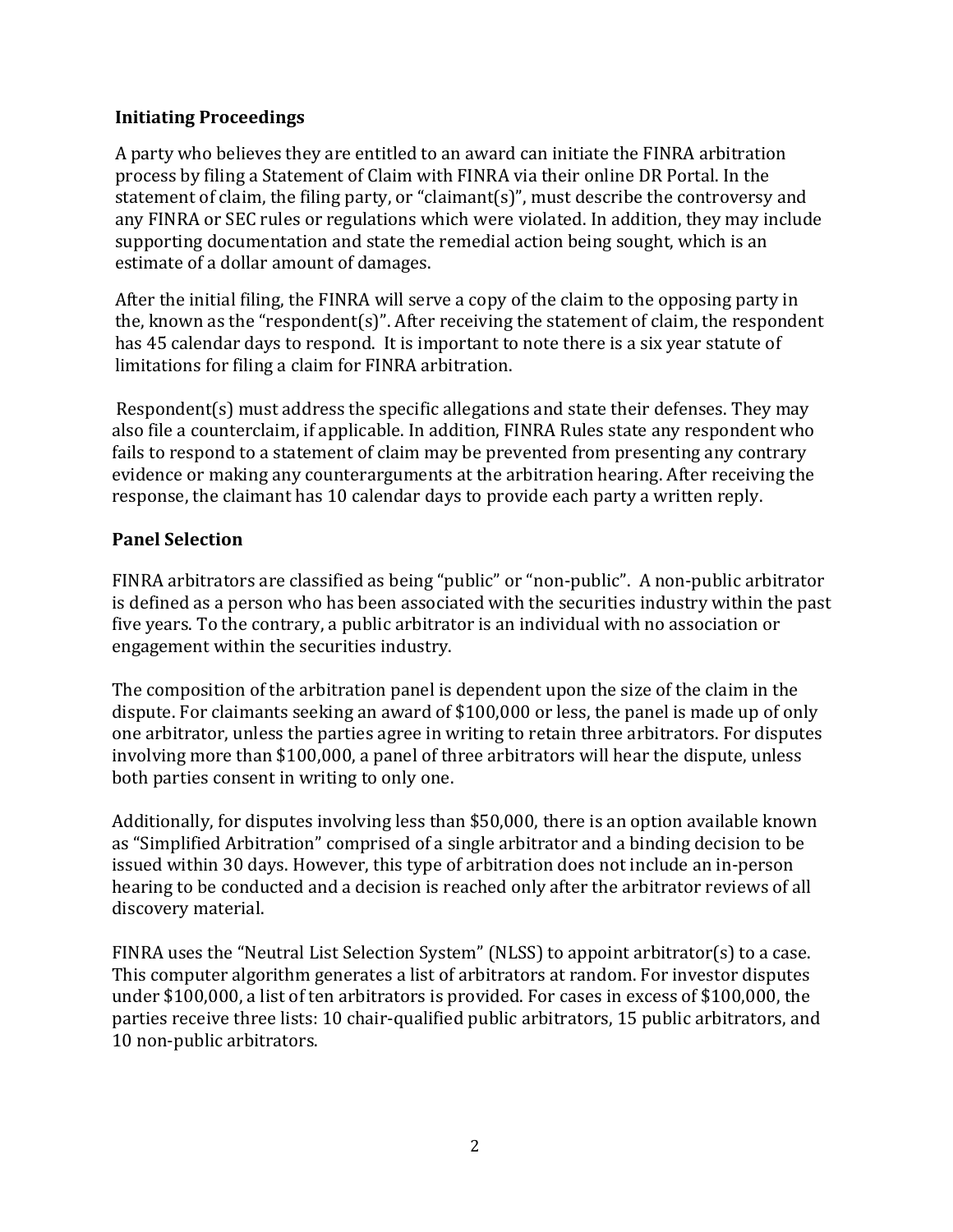## **Initiating Proceedings**

A party who believes they are entitled to an award can initiate the FINRA arbitration process by filing a Statement of Claim with FINRA via their online DR Portal. In the statement of claim, the filing party, or "claimant(s)", must describe the controversy and any FINRA or SEC rules or regulations which were violated. In addition, they may include supporting documentation and state the remedial action being sought, which is an estimate of a dollar amount of damages.

After the initial filing, the FINRA will serve a copy of the claim to the opposing party in the, known as the "respondent(s)". After receiving the statement of claim, the respondent has 45 calendar days to respond. It is important to note there is a six year statute of limitations for filing a claim for FINRA arbitration.

Respondent(s) must address the specific allegations and state their defenses. They may also file a counterclaim, if applicable. In addition, FINRA Rules state any respondent who fails to respond to a statement of claim may be prevented from presenting any contrary evidence or making any counterarguments at the arbitration hearing. After receiving the response, the claimant has 10 calendar days to provide each party a written reply.

# **Panel Selection**

FINRA arbitrators are classified as being "public" or "non-public". A non-public arbitrator is defined as a person who has been associated with the securities industry within the past five years. To the contrary, a public arbitrator is an individual with no association or engagement within the securities industry.

The composition of the arbitration panel is dependent upon the size of the claim in the dispute. For claimants seeking an award of \$100,000 or less, the panel is made up of only one arbitrator, unless the parties agree in writing to retain three arbitrators. For disputes involving more than \$100,000, a panel of three arbitrators will hear the dispute, unless both parties consent in writing to only one.

Additionally, for disputes involving less than \$50,000, there is an option available known as "Simplified Arbitration" comprised of a single arbitrator and a binding decision to be issued within 30 days. However, this type of arbitration does not include an in-person hearing to be conducted and a decision is reached only after the arbitrator reviews of all discovery material.

FINRA uses the "Neutral List Selection System" (NLSS) to appoint arbitrator(s) to a case. This computer algorithm generates a list of arbitrators at random. For investor disputes under \$100,000, a list of ten arbitrators is provided. For cases in excess of \$100,000, the parties receive three lists: 10 chair-qualified public arbitrators, 15 public arbitrators, and 10 non-public arbitrators.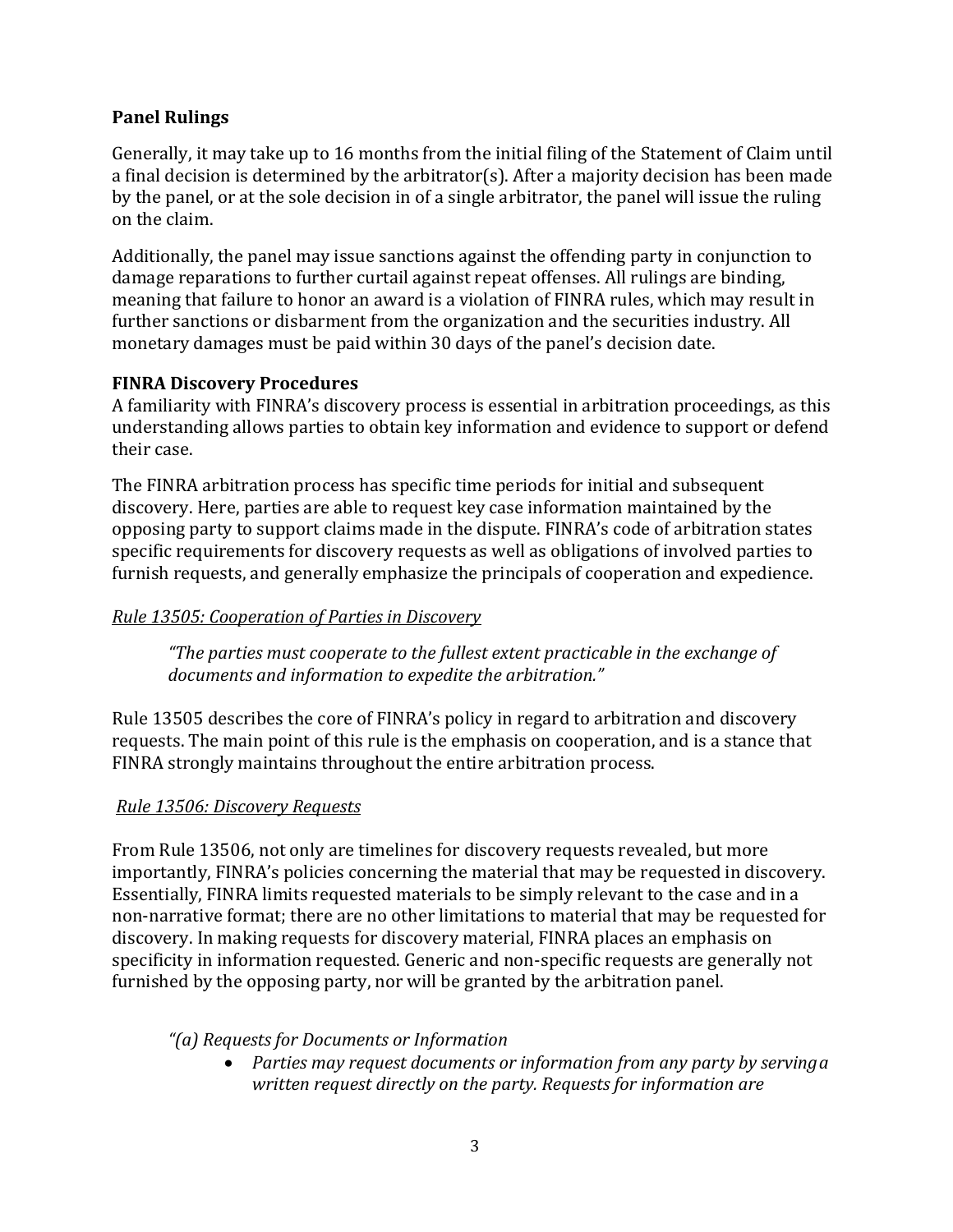# **Panel Rulings**

Generally, it may take up to 16 months from the initial filing of the Statement of Claim until a final decision is determined by the arbitrator(s). After a majority decision has been made by the panel, or at the sole decision in of a single arbitrator, the panel will issue the ruling on the claim.

Additionally, the panel may issue sanctions against the offending party in conjunction to damage reparations to further curtail against repeat offenses. All rulings are binding, meaning that failure to honor an award is a violation of FINRA rules, which may result in further sanctions or disbarment from the organization and the securities industry. All monetary damages must be paid within 30 days of the panel's decision date.

## **FINRA Discovery Procedures**

A familiarity with FINRA's discovery process is essential in arbitration proceedings, as this understanding allows parties to obtain key information and evidence to support or defend their case.

The FINRA arbitration process has specific time periods for initial and subsequent discovery. Here, parties are able to request key case information maintained by the opposing party to support claims made in the dispute. FINRA's code of arbitration states specific requirements for discovery requests as well as obligations of involved parties to furnish requests, and generally emphasize the principals of cooperation and expedience.

## *Rule 13505: Cooperation of Parties in Discovery*

*"The parties must cooperate to the fullest extent practicable in the exchange of documents and information to expedite the arbitration."*

Rule 13505 describes the core of FINRA's policy in regard to arbitration and discovery requests. The main point of this rule is the emphasis on cooperation, and is a stance that FINRA strongly maintains throughout the entire arbitration process.

## *Rule 13506: Discovery Requests*

From Rule 13506, not only are timelines for discovery requests revealed, but more importantly, FINRA's policies concerning the material that may be requested in discovery. Essentially, FINRA limits requested materials to be simply relevant to the case and in a non-narrative format; there are no other limitations to material that may be requested for discovery. In making requests for discovery material, FINRA places an emphasis on specificity in information requested. Generic and non-specific requests are generally not furnished by the opposing party, nor will be granted by the arbitration panel.

*"(a) Requests for Documents or Information*

 *Parties may request documents or information from any party by servinga written request directly on the party. Requests for information are*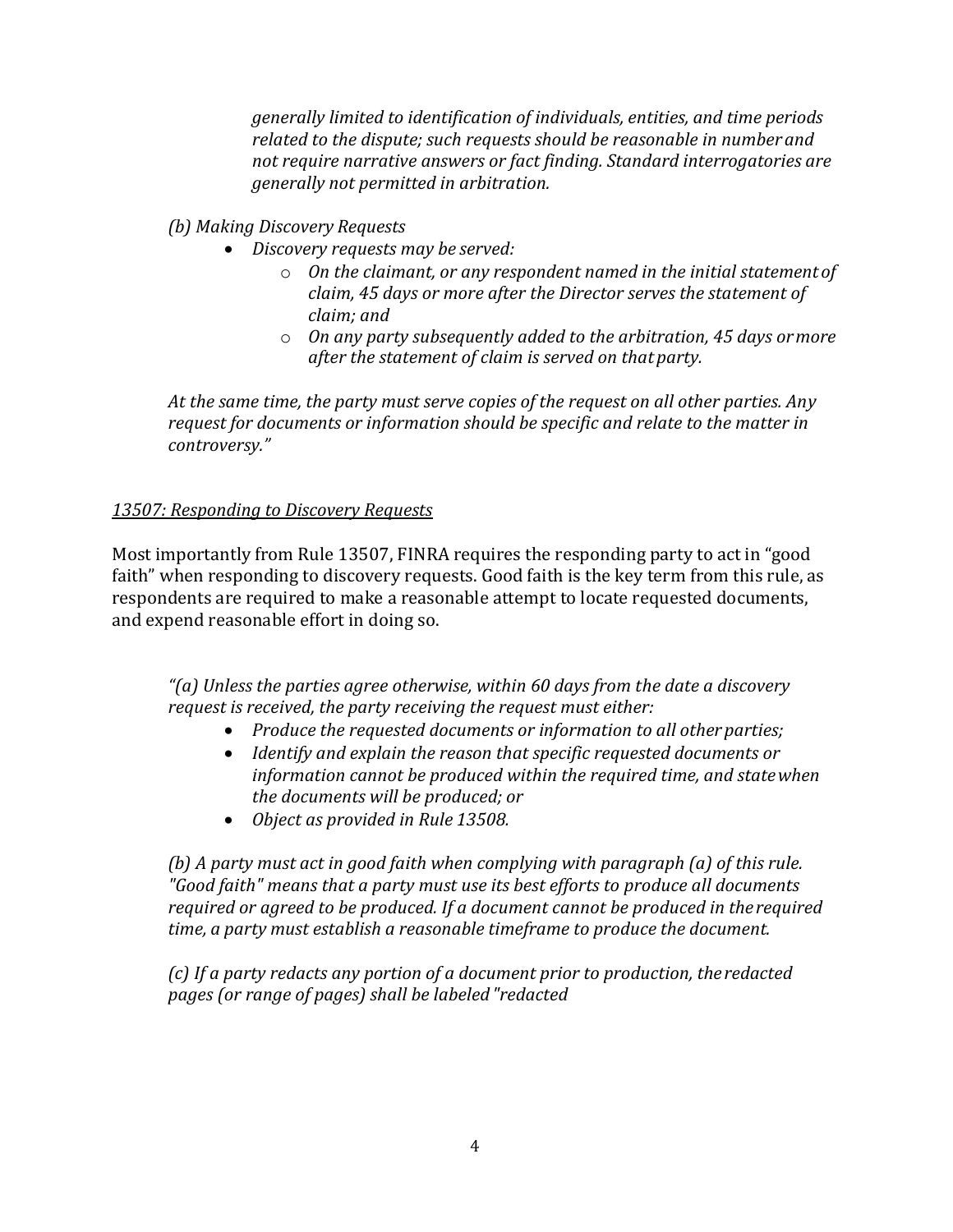*generally limited to identification of individuals, entities, and time periods related to the dispute; such requests should be reasonable in numberand not require narrative answers or fact finding. Standard interrogatories are generally not permitted in arbitration.*

## *(b) Making Discovery Requests*

- *Discovery requests may be served:*
	- o *On the claimant, or any respondent named in the initial statementof claim, 45 days or more after the Director serves the statement of claim; and*
	- o *On any party subsequently added to the arbitration, 45 days ormore after the statement of claim is served on that party.*

*At the same time, the party must serve copies of the request on all other parties. Any request for documents or information should be specific and relate to the matter in controversy."*

## *13507: Responding to Discovery Requests*

Most importantly from Rule 13507, FINRA requires the responding party to act in "good faith" when responding to discovery requests. Good faith is the key term from this rule, as respondents are required to make a reasonable attempt to locate requested documents, and expend reasonable effort in doing so.

*"(a) Unless the parties agree otherwise, within 60 days from the date a discovery request is received, the party receiving the request must either:*

- *Produce the requested documents or information to all otherparties;*
- *Identify and explain the reason that specific requested documents or information cannot be produced within the required time, and statewhen the documents will be produced; or*
- *Object as provided in Rule 13508.*

*(b) A party must act in good faith when complying with paragraph (a) of this rule. "Good faith" means that a party must use its best efforts to produce all documents required or agreed to be produced. If a document cannot be produced in therequired time, a party must establish a reasonable timeframe to produce the document.*

*(c) If a party redacts any portion of a document prior to production, theredacted pages (or range of pages) shall be labeled"redacted*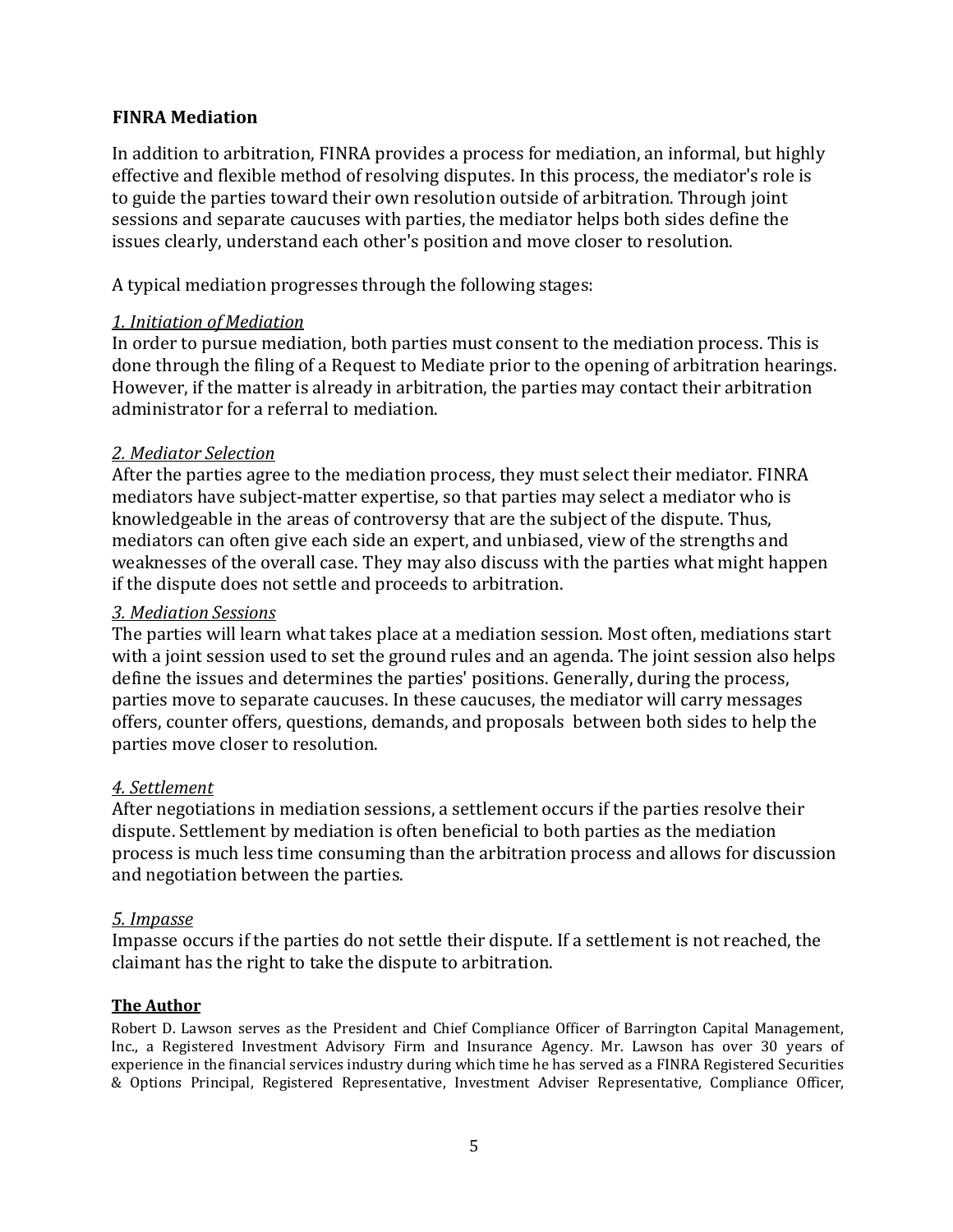## **FINRA Mediation**

In addition to arbitration, FINRA provides a process for mediation, an informal, but highly effective and flexible method of resolving disputes. In this process, the mediator's role is to guide the parties toward their own resolution outside of arbitration. Through joint sessions and separate caucuses with parties, the mediator helps both sides define the issues clearly, understand each other's position and move closer to resolution.

A typical mediation progresses through the following stages:

## *1. Initiation of Mediation*

In order to pursue mediation, both parties must consent to the mediation process. This is done through the filing of a Request to Mediate prior to the opening of arbitration hearings. However, if the matter is already in arbitration, the parties may contact their arbitration administrator for a referral to mediation.

## *2. Mediator Selection*

After the parties agree to the mediation process, they must select their mediator. FINRA mediators have subject-matter expertise, so that parties may select a mediator who is knowledgeable in the areas of controversy that are the subject of the dispute. Thus, mediators can often give each side an expert, and unbiased, view of the strengths and weaknesses of the overall case. They may also discuss with the parties what might happen if the dispute does not settle and proceeds to arbitration.

#### *3. Mediation Sessions*

The parties will learn what takes place at a mediation session. Most often, mediations start with a joint session used to set the ground rules and an agenda. The joint session also helps define the issues and determines the parties' positions. Generally, during the process, parties move to separate caucuses. In these caucuses, the mediator will carry messages offers, counter offers, questions, demands, and proposals between both sides to help the parties move closer to resolution.

## *4. Settlement*

After negotiations in mediation sessions, a settlement occurs if the parties resolve their dispute. Settlement by mediation is often beneficial to both parties as the mediation process is much less time consuming than the arbitration process and allows for discussion and negotiation between the parties.

## *5. Impasse*

Impasse occurs if the parties do not settle their dispute. If a settlement is not reached, the claimant has the right to take the dispute to arbitration.

## **The Author**

Robert D. Lawson serves as the President and Chief Compliance Officer of Barrington Capital Management, Inc., a Registered Investment Advisory Firm and Insurance Agency. Mr. Lawson has over 30 years of experience in the financial services industry during which time he has served as a FINRA Registered Securities & Options Principal, Registered Representative, Investment Adviser Representative, Compliance Officer,